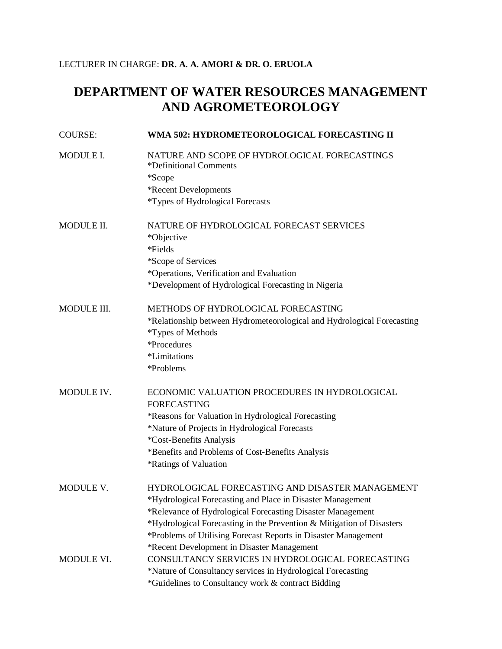## LECTURER IN CHARGE: **DR. A. A. AMORI & DR. O. ERUOLA**

## **DEPARTMENT OF WATER RESOURCES MANAGEMENT AND AGROMETEOROLOGY**

| <b>COURSE:</b> | WMA 502: HYDROMETEOROLOGICAL FORECASTING II                             |
|----------------|-------------------------------------------------------------------------|
| MODULE I.      | NATURE AND SCOPE OF HYDROLOGICAL FORECASTINGS<br>*Definitional Comments |
|                | *Scope                                                                  |
|                | *Recent Developments                                                    |
|                | *Types of Hydrological Forecasts                                        |
| MODULE II.     | NATURE OF HYDROLOGICAL FORECAST SERVICES<br>*Objective                  |
|                | *Fields                                                                 |
|                | *Scope of Services                                                      |
|                | *Operations, Verification and Evaluation                                |
|                | *Development of Hydrological Forecasting in Nigeria                     |
| MODULE III.    | METHODS OF HYDROLOGICAL FORECASTING                                     |
|                | *Relationship between Hydrometeorological and Hydrological Forecasting  |
|                | *Types of Methods                                                       |
|                | *Procedures                                                             |
|                | *Limitations                                                            |
|                | *Problems                                                               |
| MODULE IV.     | ECONOMIC VALUATION PROCEDURES IN HYDROLOGICAL                           |
|                | <b>FORECASTING</b>                                                      |
|                | *Reasons for Valuation in Hydrological Forecasting                      |
|                | *Nature of Projects in Hydrological Forecasts                           |
|                | *Cost-Benefits Analysis                                                 |
|                | *Benefits and Problems of Cost-Benefits Analysis                        |
|                | *Ratings of Valuation                                                   |
| MODULE V.      | HYDROLOGICAL FORECASTING AND DISASTER MANAGEMENT                        |
|                | *Hydrological Forecasting and Place in Disaster Management              |
|                | *Relevance of Hydrological Forecasting Disaster Management              |
|                | *Hydrological Forecasting in the Prevention & Mitigation of Disasters   |
|                | *Problems of Utilising Forecast Reports in Disaster Management          |
|                | *Recent Development in Disaster Management                              |
| MODULE VI.     | CONSULTANCY SERVICES IN HYDROLOGICAL FORECASTING                        |
|                | *Nature of Consultancy services in Hydrological Forecasting             |
|                | *Guidelines to Consultancy work & contract Bidding                      |